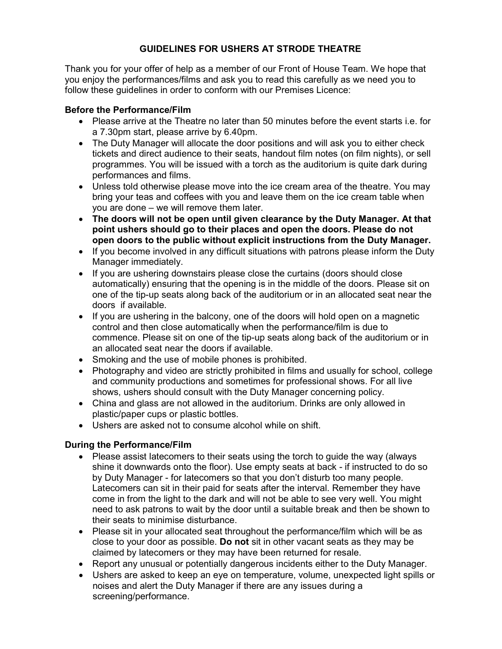# GUIDELINES FOR USHERS AT STRODE THEATRE

Thank you for your offer of help as a member of our Front of House Team. We hope that you enjoy the performances/films and ask you to read this carefully as we need you to follow these guidelines in order to conform with our Premises Licence:

#### Before the Performance/Film

- Please arrive at the Theatre no later than 50 minutes before the event starts i.e. for a 7.30pm start, please arrive by 6.40pm.
- The Duty Manager will allocate the door positions and will ask you to either check tickets and direct audience to their seats, handout film notes (on film nights), or sell programmes. You will be issued with a torch as the auditorium is quite dark during performances and films.
- Unless told otherwise please move into the ice cream area of the theatre. You may bring your teas and coffees with you and leave them on the ice cream table when you are done – we will remove them later.
- The doors will not be open until given clearance by the Duty Manager. At that point ushers should go to their places and open the doors. Please do not open doors to the public without explicit instructions from the Duty Manager.
- If you become involved in any difficult situations with patrons please inform the Duty Manager immediately.
- If you are ushering downstairs please close the curtains (doors should close automatically) ensuring that the opening is in the middle of the doors. Please sit on one of the tip-up seats along back of the auditorium or in an allocated seat near the doors if available.
- If you are ushering in the balcony, one of the doors will hold open on a magnetic control and then close automatically when the performance/film is due to commence. Please sit on one of the tip-up seats along back of the auditorium or in an allocated seat near the doors if available.
- Smoking and the use of mobile phones is prohibited.
- Photography and video are strictly prohibited in films and usually for school, college and community productions and sometimes for professional shows. For all live shows, ushers should consult with the Duty Manager concerning policy.
- China and glass are not allowed in the auditorium. Drinks are only allowed in plastic/paper cups or plastic bottles.
- Ushers are asked not to consume alcohol while on shift.

### During the Performance/Film

- Please assist latecomers to their seats using the torch to guide the way (always shine it downwards onto the floor). Use empty seats at back - if instructed to do so by Duty Manager - for latecomers so that you don't disturb too many people. Latecomers can sit in their paid for seats after the interval. Remember they have come in from the light to the dark and will not be able to see very well. You might need to ask patrons to wait by the door until a suitable break and then be shown to their seats to minimise disturbance.
- Please sit in your allocated seat throughout the performance/film which will be as close to your door as possible. Do not sit in other vacant seats as they may be claimed by latecomers or they may have been returned for resale.
- Report any unusual or potentially dangerous incidents either to the Duty Manager.
- Ushers are asked to keep an eye on temperature, volume, unexpected light spills or noises and alert the Duty Manager if there are any issues during a screening/performance.